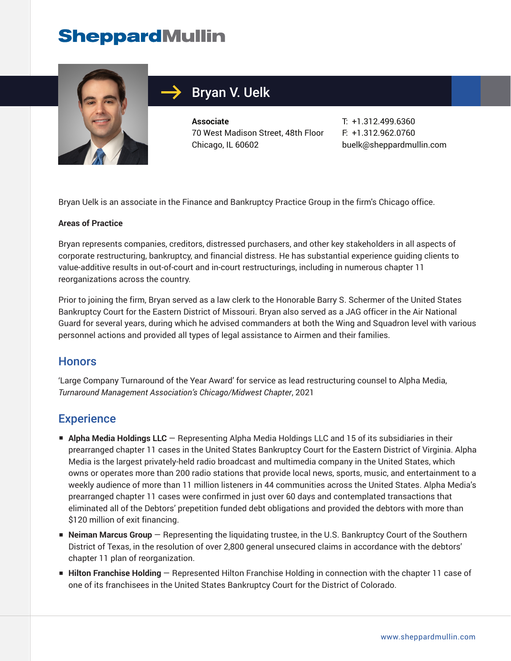# **SheppardMullin**



## Bryan V. Uelk

**Associate** 70 West Madison Street, 48th Floor Chicago, IL 60602

T: +1.312.499.6360 F: +1.312.962.0760 buelk@sheppardmullin.com

Bryan Uelk is an associate in the Finance and Bankruptcy Practice Group in the firm's Chicago office.

#### **Areas of Practice**

Bryan represents companies, creditors, distressed purchasers, and other key stakeholders in all aspects of corporate restructuring, bankruptcy, and financial distress. He has substantial experience guiding clients to value-additive results in out-of-court and in-court restructurings, including in numerous chapter 11 reorganizations across the country.

Prior to joining the firm, Bryan served as a law clerk to the Honorable Barry S. Schermer of the United States Bankruptcy Court for the Eastern District of Missouri. Bryan also served as a JAG officer in the Air National Guard for several years, during which he advised commanders at both the Wing and Squadron level with various personnel actions and provided all types of legal assistance to Airmen and their families.

#### **Honors**

'Large Company Turnaround of the Year Award' for service as lead restructuring counsel to Alpha Media, *Turnaround Management Association's Chicago/Midwest Chapter*, 2021

#### **Experience**

- **Alpha Media Holdings LLC** Representing Alpha Media Holdings LLC and 15 of its subsidiaries in their prearranged chapter 11 cases in the United States Bankruptcy Court for the Eastern District of Virginia. Alpha Media is the largest privately-held radio broadcast and multimedia company in the United States, which owns or operates more than 200 radio stations that provide local news, sports, music, and entertainment to a weekly audience of more than 11 million listeners in 44 communities across the United States. Alpha Media's prearranged chapter 11 cases were confirmed in just over 60 days and contemplated transactions that eliminated all of the Debtors' prepetition funded debt obligations and provided the debtors with more than \$120 million of exit financing.
- **Neiman Marcus Group** Representing the liquidating trustee, in the U.S. Bankruptcy Court of the Southern District of Texas, in the resolution of over 2,800 general unsecured claims in accordance with the debtors' chapter 11 plan of reorganization.
- **Hilton Franchise Holding** Represented Hilton Franchise Holding in connection with the chapter 11 case of one of its franchisees in the United States Bankruptcy Court for the District of Colorado.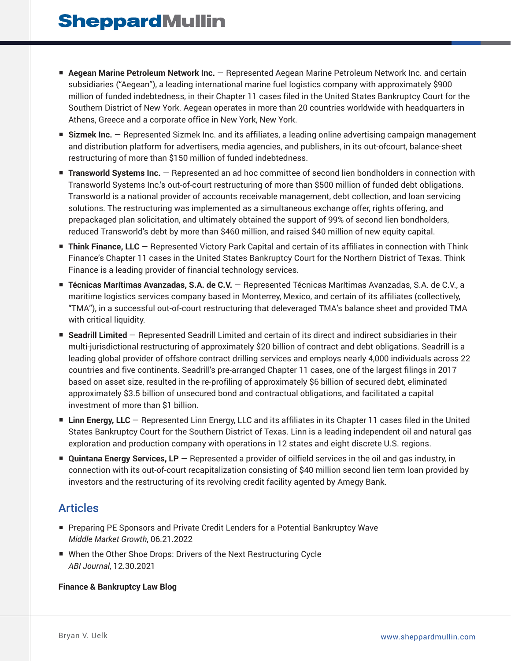- **Aegean Marine Petroleum Network Inc.** Represented Aegean Marine Petroleum Network Inc. and certain subsidiaries ("Aegean"), a leading international marine fuel logistics company with approximately \$900 million of funded indebtedness, in their Chapter 11 cases filed in the United States Bankruptcy Court for the Southern District of New York. Aegean operates in more than 20 countries worldwide with headquarters in Athens, Greece and a corporate office in New York, New York.
- **Sizmek Inc.** Represented Sizmek Inc. and its affiliates, a leading online advertising campaign management and distribution platform for advertisers, media agencies, and publishers, in its out-ofcourt, balance-sheet restructuring of more than \$150 million of funded indebtedness.
- **Transworld Systems Inc.** Represented an ad hoc committee of second lien bondholders in connection with Transworld Systems Inc.'s out-of-court restructuring of more than \$500 million of funded debt obligations. Transworld is a national provider of accounts receivable management, debt collection, and loan servicing solutions. The restructuring was implemented as a simultaneous exchange offer, rights offering, and prepackaged plan solicitation, and ultimately obtained the support of 99% of second lien bondholders, reduced Transworld's debt by more than \$460 million, and raised \$40 million of new equity capital.
- **Think Finance, LLC** Represented Victory Park Capital and certain of its affiliates in connection with Think Finance's Chapter 11 cases in the United States Bankruptcy Court for the Northern District of Texas. Think Finance is a leading provider of financial technology services.
- **Técnicas Marítimas Avanzadas, S.A. de C.V.** Represented Técnicas Marítimas Avanzadas, S.A. de C.V., a maritime logistics services company based in Monterrey, Mexico, and certain of its affiliates (collectively, "TMA"), in a successful out-of-court restructuring that deleveraged TMA's balance sheet and provided TMA with critical liquidity.
- **Seadrill Limited** Represented Seadrill Limited and certain of its direct and indirect subsidiaries in their multi-jurisdictional restructuring of approximately \$20 billion of contract and debt obligations. Seadrill is a leading global provider of offshore contract drilling services and employs nearly 4,000 individuals across 22 countries and five continents. Seadrill's pre-arranged Chapter 11 cases, one of the largest filings in 2017 based on asset size, resulted in the re-profiling of approximately \$6 billion of secured debt, eliminated approximately \$3.5 billion of unsecured bond and contractual obligations, and facilitated a capital investment of more than \$1 billion.
- **Linn Energy, LLC** Represented Linn Energy, LLC and its affiliates in its Chapter 11 cases filed in the United States Bankruptcy Court for the Southern District of Texas. Linn is a leading independent oil and natural gas exploration and production company with operations in 12 states and eight discrete U.S. regions.
- **Quintana Energy Services, LP** Represented a provider of oilfield services in the oil and gas industry, in connection with its out-of-court recapitalization consisting of \$40 million second lien term loan provided by investors and the restructuring of its revolving credit facility agented by Amegy Bank.

### Articles

- Preparing PE Sponsors and Private Credit Lenders for a Potential Bankruptcy Wave *Middle Market Growth*, 06.21.2022
- When the Other Shoe Drops: Drivers of the Next Restructuring Cycle *ABI Journal*, 12.30.2021

#### **Finance & Bankruptcy Law Blog**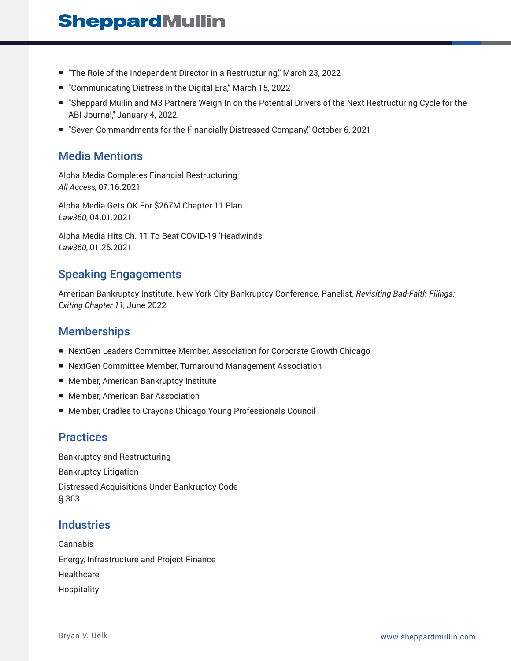# **SheppardMullin**

- "The Role of the Independent Director in a Restructuring," March 23, 2022
- "Communicating Distress in the Digital Era," March 15, 2022
- "Sheppard Mullin and M3 Partners Weigh In on the Potential Drivers of the Next Restructuring Cycle for the ABI Journal," January 4, 2022
- "Seven Commandments for the Financially Distressed Company" October 6, 2021

#### Media Mentions

Alpha Media Completes Financial Restructuring *All Access*, 07.16.2021

Alpha Media Gets OK For \$267M Chapter 11 Plan *Law360*, 04.01.2021

Alpha Media Hits Ch. 11 To Beat COVID-19 'Headwinds' *Law360*, 01.25.2021

### Speaking Engagements

American Bankruptcy Institute, New York City Bankruptcy Conference, Panelist, *Revisiting Bad-Faith Filings: Exiting Chapter 11,* June 2022

#### **Memberships**

- NextGen Leaders Committee Member, Association for Corporate Growth Chicago
- NextGen Committee Member, Turnaround Management Association
- Member, American Bankruptcy Institute
- Member, American Bar Association
- Member, Cradles to Crayons Chicago Young Professionals Council

#### **Practices**

Bankruptcy and Restructuring Bankruptcy Litigation Distressed Acquisitions Under Bankruptcy Code § 363

#### **Industries**

Cannabis Energy, Infrastructure and Project Finance **Healthcare** Hospitality